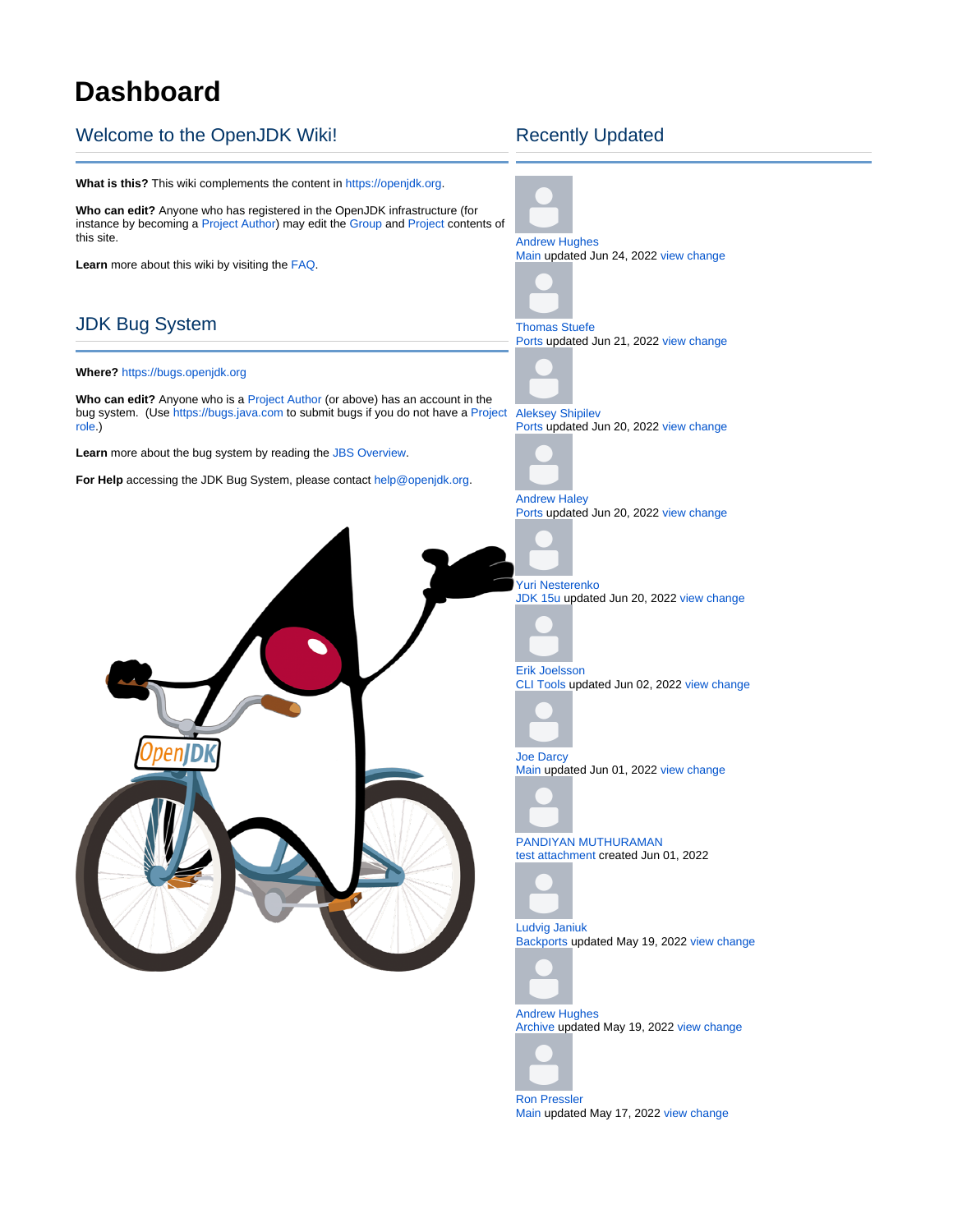## **Dashboard**

## Welcome to the OpenJDK Wiki!

**What is this?** This wiki complements the content in [https://openjdk.org.](https://openjdk.org/) **Who can edit?** Anyone who has registered in the OpenJDK infrastructure (for instance by becoming a [Project Author](https://openjdk.java.net/projects/#project-author)) may edit the [Group](https://openjdk.java.net/groups) and [Project](https://openjdk.java.net/projects) contents of this site. **Learn** more about this wiki by visiting the [FAQ.](https://wiki.openjdk.org/display/general/FAQ) JDK Bug System **Where?** <https://bugs.openjdk.org> **Who can edit?** Anyone who is a [Project Author](https://openjdk.java.net/projects/#project-author) (or above) has an account in the bug system. (Use<https://bugs.java.com> to submit bugs if you do not have a [Project](https://openjdk.java.net/bylaws#_7)  [Aleksey Shipilev](https://wiki.openjdk.org/display/~shade) [role](https://openjdk.java.net/bylaws#_7).) **Learn** more about the bug system by reading the [JBS Overview.](https://wiki.openjdk.org/display/general/JBS+Overview) **For Help** accessing the JDK Bug System, please contact [help@openjdk.org.](mailto:help@openjdk.org)

## Recently Updated





[Ron Pressler](https://wiki.openjdk.org/display/~rpressler) [Main](https://wiki.openjdk.org/display/loom/Main) updated May 17, 2022 [view change](https://wiki.openjdk.org/pages/diffpagesbyversion.action?pageId=37191722&selectedPageVersions=59&selectedPageVersions=58)